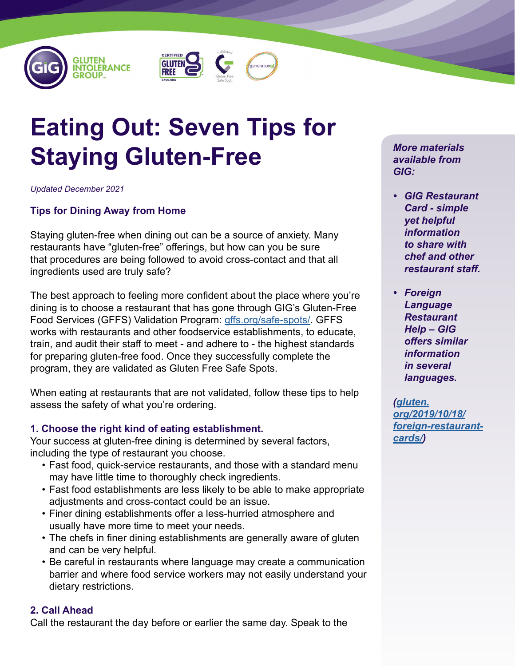





# **Eating Out: Seven Tips for Staying Gluten-Free**

*Updated December 2021*

# **Tips for Dining Away from Home**

Staying gluten-free when dining out can be a source of anxiety. Many restaurants have "gluten-free" offerings, but how can you be sure that procedures are being followed to avoid cross-contact and that all ingredients used are truly safe?

The best approach to feeling more confident about the place where you're dining is to choose a restaurant that has gone through GIG's Gluten-Free Food Services (GFFS) Validation Program: [gffs.org/safe-spots/.](https://gffs.org/safe-spots/) GFFS works with restaurants and other foodservice establishments, to educate, train, and audit their staff to meet - and adhere to - the highest standards for preparing gluten-free food. Once they successfully complete the program, they are validated as Gluten Free Safe Spots.

When eating at restaurants that are not validated, follow these tips to help assess the safety of what you're ordering.

# **1. Choose the right kind of eating establishment.**

Your success at gluten-free dining is determined by several factors, including the type of restaurant you choose.

- Fast food, quick-service restaurants, and those with a standard menu may have little time to thoroughly check ingredients.
- Fast food establishments are less likely to be able to make appropriate adjustments and cross-contact could be an issue.
- Finer dining establishments offer a less-hurried atmosphere and usually have more time to meet your needs.
- The chefs in finer dining establishments are generally aware of gluten and can be very helpful.
- Be careful in restaurants where language may create a communication barrier and where food service workers may not easily understand your dietary restrictions.

# **2. Call Ahead**

Call the restaurant the day before or earlier the same day. Speak to the

*More materials available from GIG:*

- *• GIG Restaurant Card - simple yet helpful information to share with chef and other restaurant staff.*
- *• Foreign Language Restaurant Help – GIG offers similar information in several languages.*

*([gluten.](https://gluten.org/2019/10/18/foreign-restaurant-cards/) [org/2019/10/18/](https://gluten.org/2019/10/18/foreign-restaurant-cards/) [foreign-restaurant](https://gluten.org/2019/10/18/foreign-restaurant-cards/)[cards/\)](https://gluten.org/2019/10/18/foreign-restaurant-cards/)*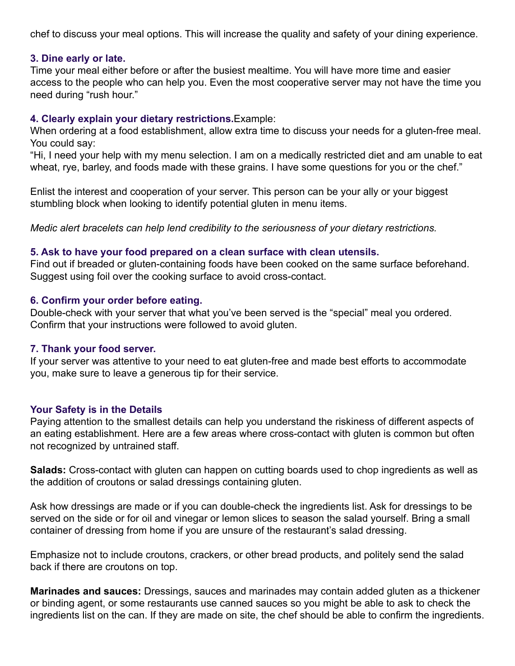chef to discuss your meal options. This will increase the quality and safety of your dining experience.

#### **3. Dine early or late.**

Time your meal either before or after the busiest mealtime. You will have more time and easier access to the people who can help you. Even the most cooperative server may not have the time you need during "rush hour."

## **4. Clearly explain your dietary restrictions.**Example:

When ordering at a food establishment, allow extra time to discuss your needs for a gluten-free meal. You could say:

"Hi, I need your help with my menu selection. I am on a medically restricted diet and am unable to eat wheat, rye, barley, and foods made with these grains. I have some questions for you or the chef."

Enlist the interest and cooperation of your server. This person can be your ally or your biggest stumbling block when looking to identify potential gluten in menu items.

*Medic alert bracelets can help lend credibility to the seriousness of your dietary restrictions.*

## **5. Ask to have your food prepared on a clean surface with clean utensils.**

Find out if breaded or gluten-containing foods have been cooked on the same surface beforehand. Suggest using foil over the cooking surface to avoid cross-contact.

## **6. Confirm your order before eating.**

Double-check with your server that what you've been served is the "special" meal you ordered. Confirm that your instructions were followed to avoid gluten.

## **7. Thank your food server.**

If your server was attentive to your need to eat gluten-free and made best efforts to accommodate you, make sure to leave a generous tip for their service.

# **Your Safety is in the Details**

Paying attention to the smallest details can help you understand the riskiness of different aspects of an eating establishment. Here are a few areas where cross-contact with gluten is common but often not recognized by untrained staff.

**Salads:** Cross-contact with gluten can happen on cutting boards used to chop ingredients as well as the addition of croutons or salad dressings containing gluten.

Ask how dressings are made or if you can double-check the ingredients list. Ask for dressings to be served on the side or for oil and vinegar or lemon slices to season the salad yourself. Bring a small container of dressing from home if you are unsure of the restaurant's salad dressing.

Emphasize not to include croutons, crackers, or other bread products, and politely send the salad back if there are croutons on top.

**Marinades and sauces:** Dressings, sauces and marinades may contain added gluten as a thickener or binding agent, or some restaurants use canned sauces so you might be able to ask to check the ingredients list on the can. If they are made on site, the chef should be able to confirm the ingredients.